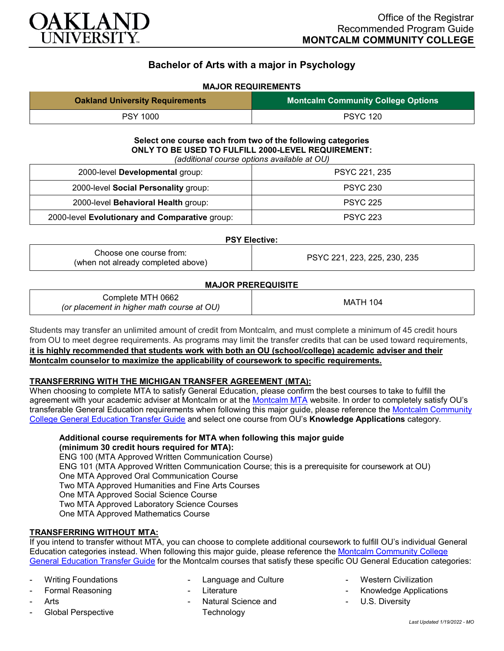

# **Bachelor of Arts with a major in Psychology**

## **MAJOR REQUIREMENTS**

| <b>Oakland University Requirements</b> | <b>Montcalm Community College Options</b> |
|----------------------------------------|-------------------------------------------|
| <b>PSY 1000</b>                        | <b>PSYC 120</b>                           |

## **Select one course each from two of the following categories ONLY TO BE USED TO FULFILL 2000-LEVEL REQUIREMENT:**

*(additional course options available at OU)*

| 2000-level Developmental group:                | PSYC 221, 235   |
|------------------------------------------------|-----------------|
| 2000-level Social Personality group:           | <b>PSYC 230</b> |
| 2000-level Behavioral Health group:            | <b>PSYC 225</b> |
| 2000-level Evolutionary and Comparative group: | <b>PSYC 223</b> |

#### **PSY Elective:**

| Choose one course from:<br>(when not already completed above) | PSYC 221, 223, 225, 230, 235 |
|---------------------------------------------------------------|------------------------------|
|---------------------------------------------------------------|------------------------------|

### **MAJOR PREREQUISITE**

| Complete MTH 0662<br>(or placement in higher math course at OU) | <b>MATH 104</b> |
|-----------------------------------------------------------------|-----------------|
|-----------------------------------------------------------------|-----------------|

Students may transfer an unlimited amount of credit from Montcalm, and must complete a minimum of 45 credit hours from OU to meet degree requirements. As programs may limit the transfer credits that can be used toward requirements, **it is highly recommended that students work with both an OU (school/college) academic adviser and their Montcalm counselor to maximize the applicability of coursework to specific requirements.**

### **TRANSFERRING WITH THE MICHIGAN TRANSFER AGREEMENT (MTA):**

When choosing to complete MTA to satisfy General Education, please confirm the best courses to take to fulfill the agreement with your academic adviser at Montcalm or at the [Montcalm MTA](https://catalog.montcalm.edu/preview_program.php?catoid=18&poid=2441&returnto=1758) website. In order to completely satisfy OU's transferable General Education requirements when following this major guide, please reference the [Montcalm Community](https://www.oakland.edu/Assets/Oakland/program-guides/montcalm-community-college/university-general-education-requirements/Montcalm%20Gen%20Ed.pdf)  [College General Education Transfer Guide](https://www.oakland.edu/Assets/Oakland/program-guides/montcalm-community-college/university-general-education-requirements/Montcalm%20Gen%20Ed.pdf) and select one course from OU's **Knowledge Applications** category.

### **Additional course requirements for MTA when following this major guide (minimum 30 credit hours required for MTA):**

ENG 100 (MTA Approved Written Communication Course) ENG 101 (MTA Approved Written Communication Course; this is a prerequisite for coursework at OU) One MTA Approved Oral Communication Course Two MTA Approved Humanities and Fine Arts Courses One MTA Approved Social Science Course Two MTA Approved Laboratory Science Courses One MTA Approved Mathematics Course

### **TRANSFERRING WITHOUT MTA:**

If you intend to transfer without MTA, you can choose to complete additional coursework to fulfill OU's individual General Education categories instead. When following this major guide, please reference the [Montcalm Community College](https://www.oakland.edu/Assets/Oakland/program-guides/montcalm-community-college/university-general-education-requirements/Montcalm%20Gen%20Ed.pdf)  [General Education Transfer Guide](https://www.oakland.edu/Assets/Oakland/program-guides/montcalm-community-college/university-general-education-requirements/Montcalm%20Gen%20Ed.pdf) for the Montcalm courses that satisfy these specific OU General Education categories:

- Writing Foundations
- Formal Reasoning
- Arts
- Global Perspective
- Language and Culture
- **Literature**
- Natural Science and **Technology**
- **Western Civilization**
- Knowledge Applications
- U.S. Diversity